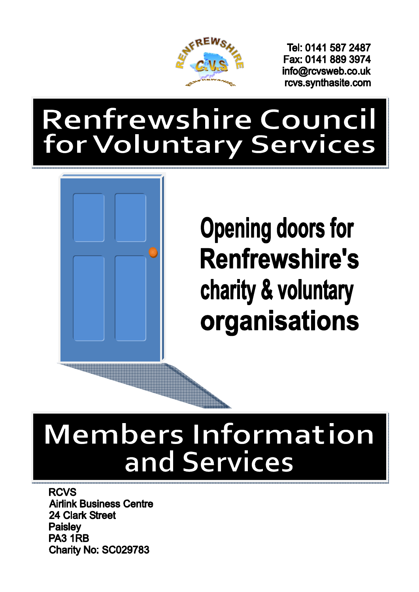

Tel: 0141 587 2487 Fax: 0141 889 3974 info@rcvsweb.co.uk rcvs.synthasite.com

# **Renfrewshire Council** for Voluntary Services



# **Members Information** and Services

**RCVS** 

**Airlink Business Centre 24 Clark Street Paislev** PA3 1RB Charity No: SC029783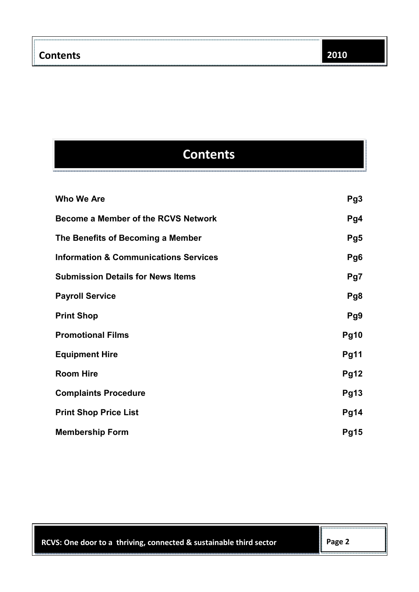| O) | ▝▝▃▌▘<br>n<br>П | n |
|----|-----------------|---|
|    |                 |   |

| <b>Who We Are</b>                                | Pg3         |
|--------------------------------------------------|-------------|
| Become a Member of the RCVS Network              | Pg4         |
| The Benefits of Becoming a Member                | Pg5         |
| <b>Information &amp; Communications Services</b> | Pg6         |
| <b>Submission Details for News Items</b>         | Pg7         |
| <b>Payroll Service</b>                           | Pg8         |
| <b>Print Shop</b>                                | Pg9         |
| <b>Promotional Films</b>                         | <b>Pg10</b> |
| <b>Equipment Hire</b>                            | <b>Pg11</b> |
| <b>Room Hire</b>                                 | <b>Pg12</b> |
| <b>Complaints Procedure</b>                      | <b>Pg13</b> |
| <b>Print Shop Price List</b>                     | Pg14        |
| <b>Membership Form</b>                           | <b>Pg15</b> |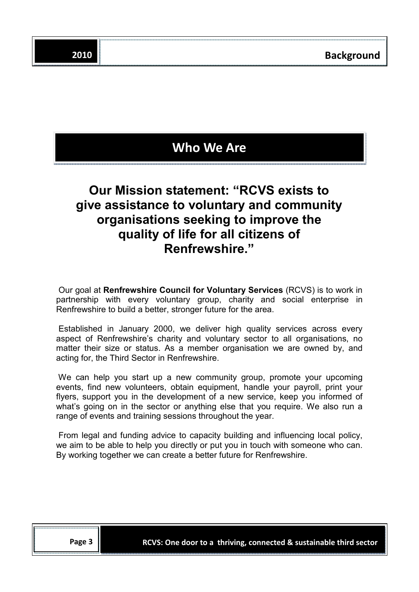### Who We Are

### Our Mission statement: "RCVS exists to give assistance to voluntary and community organisations seeking to improve the quality of life for all citizens of Renfrewshire."

 Our goal at Renfrewshire Council for Voluntary Services (RCVS) is to work in partnership with every voluntary group, charity and social enterprise in Renfrewshire to build a better, stronger future for the area.

 Established in January 2000, we deliver high quality services across every aspect of Renfrewshire's charity and voluntary sector to all organisations, no matter their size or status. As a member organisation we are owned by, and acting for, the Third Sector in Renfrewshire.

We can help you start up a new community group, promote your upcoming events, find new volunteers, obtain equipment, handle your payroll, print your flyers, support you in the development of a new service, keep you informed of what's going on in the sector or anything else that you require. We also run a range of events and training sessions throughout the year.

 From legal and funding advice to capacity building and influencing local policy, we aim to be able to help you directly or put you in touch with someone who can. By working together we can create a better future for Renfrewshire.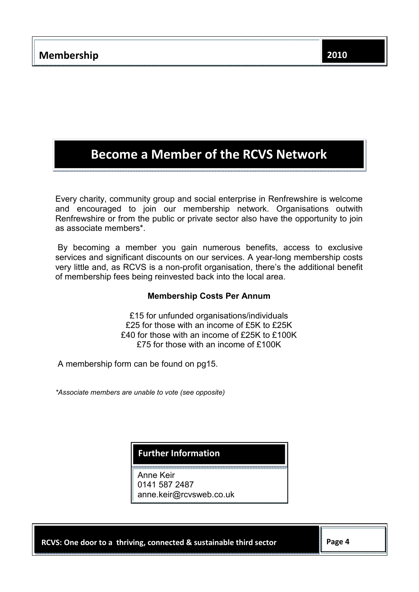### Become a Member of the RCVS Network

Every charity, community group and social enterprise in Renfrewshire is welcome and encouraged to join our membership network. Organisations outwith Renfrewshire or from the public or private sector also have the opportunity to join as associate members\*.

 By becoming a member you gain numerous benefits, access to exclusive services and significant discounts on our services. A year-long membership costs very little and, as RCVS is a non-profit organisation, there's the additional benefit of membership fees being reinvested back into the local area.

#### Membership Costs Per Annum

£15 for unfunded organisations/individuals £25 for those with an income of £5K to £25K £40 for those with an income of £25K to £100K £75 for those with an income of £100K

A membership form can be found on pg15.

\*Associate members are unable to vote (see opposite)

#### Further Information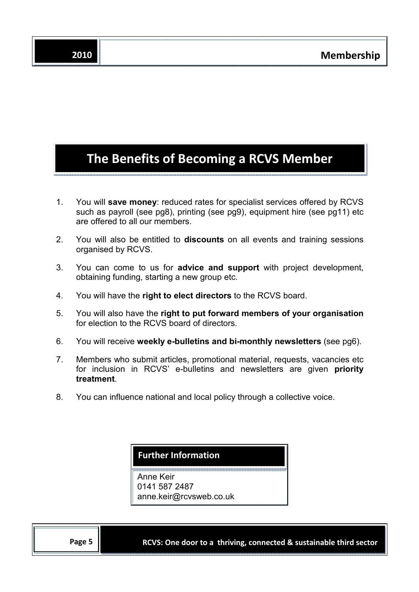### The Benefits of Becoming a RCVS Member

- 1. You will save money: reduced rates for specialist services offered by RCVS such as payroll (see pg8), printing (see pg9), equipment hire (see pg11) etc are offered to all our members.
- 2. You will also be entitled to **discounts** on all events and training sessions organised by RCVS.
- 3. You can come to us for advice and support with project development, obtaining funding, starting a new group etc.
- 4. You will have the right to elect directors to the RCVS board.
- 5. You will also have the right to put forward members of your organisation for election to the RCVS board of directors.
- 6. You will receive weekly e-bulletins and bi-monthly newsletters (see pg6).
- 7. Members who submit articles, promotional material, requests, vacancies etc for inclusion in RCVS' e-bulletins and newsletters are given priority treatment.
- 8. You can influence national and local policy through a collective voice.

#### Further Information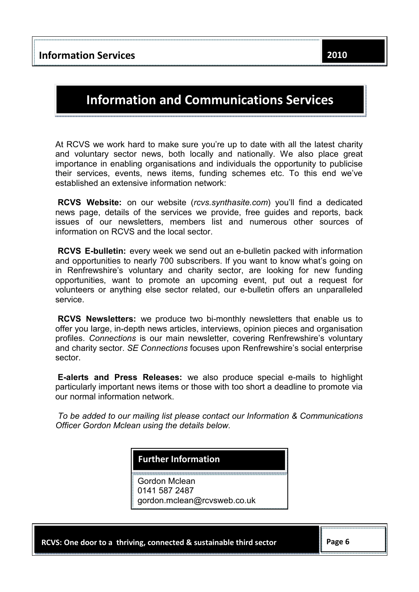### Information and Communications Services

At RCVS we work hard to make sure you're up to date with all the latest charity and voluntary sector news, both locally and nationally. We also place great importance in enabling organisations and individuals the opportunity to publicise their services, events, news items, funding schemes etc. To this end we've established an extensive information network:

RCVS Website: on our website (rcvs.synthasite.com) you'll find a dedicated news page, details of the services we provide, free guides and reports, back issues of our newsletters, members list and numerous other sources of information on RCVS and the local sector.

 RCVS E-bulletin: every week we send out an e-bulletin packed with information and opportunities to nearly 700 subscribers. If you want to know what's going on in Renfrewshire's voluntary and charity sector, are looking for new funding opportunities, want to promote an upcoming event, put out a request for volunteers or anything else sector related, our e-bulletin offers an unparalleled service.

 RCVS Newsletters: we produce two bi-monthly newsletters that enable us to offer you large, in-depth news articles, interviews, opinion pieces and organisation profiles. Connections is our main newsletter, covering Renfrewshire's voluntary and charity sector. SE Connections focuses upon Renfrewshire's social enterprise sector.

 E-alerts and Press Releases: we also produce special e-mails to highlight particularly important news items or those with too short a deadline to promote via our normal information network.

 To be added to our mailing list please contact our Information & Communications Officer Gordon Mclean using the details below.

#### Further Information

Gordon Mclean 0141 587 2487 gordon.mclean@rcvsweb.co.uk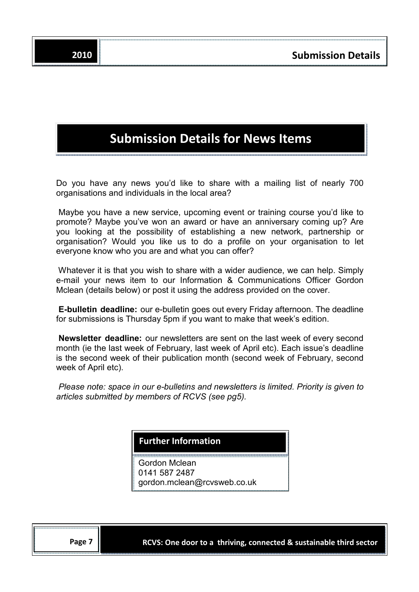### Submission Details for News Items

Do you have any news you'd like to share with a mailing list of nearly 700 organisations and individuals in the local area?

 Maybe you have a new service, upcoming event or training course you'd like to promote? Maybe you've won an award or have an anniversary coming up? Are you looking at the possibility of establishing a new network, partnership or organisation? Would you like us to do a profile on your organisation to let everyone know who you are and what you can offer?

 Whatever it is that you wish to share with a wider audience, we can help. Simply e-mail your news item to our Information & Communications Officer Gordon Mclean (details below) or post it using the address provided on the cover.

 E-bulletin deadline: our e-bulletin goes out every Friday afternoon. The deadline for submissions is Thursday 5pm if you want to make that week's edition.

 Newsletter deadline: our newsletters are sent on the last week of every second month (ie the last week of February, last week of April etc). Each issue's deadline is the second week of their publication month (second week of February, second week of April etc).

 Please note: space in our e-bulletins and newsletters is limited. Priority is given to articles submitted by members of RCVS (see pg5).

#### Further Information

Gordon Mclean 0141 587 2487 gordon.mclean@rcvsweb.co.uk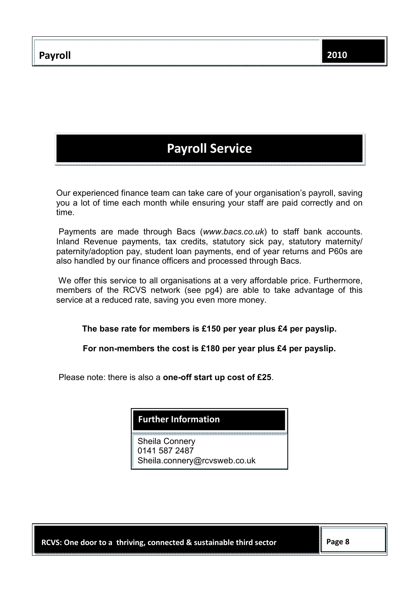### Payroll Service

Our experienced finance team can take care of your organisation's payroll, saving you a lot of time each month while ensuring your staff are paid correctly and on time.

 Payments are made through Bacs (www.bacs.co.uk) to staff bank accounts. Inland Revenue payments, tax credits, statutory sick pay, statutory maternity/ paternity/adoption pay, student loan payments, end of year returns and P60s are also handled by our finance officers and processed through Bacs.

 We offer this service to all organisations at a very affordable price. Furthermore, members of the RCVS network (see pg4) are able to take advantage of this service at a reduced rate, saving you even more money.

The base rate for members is £150 per year plus £4 per payslip.

For non-members the cost is £180 per year plus £4 per payslip.

Please note: there is also a one-off start up cost of £25.

### Further Information

Sheila Connery 0141 587 2487 Sheila.connery@rcvsweb.co.uk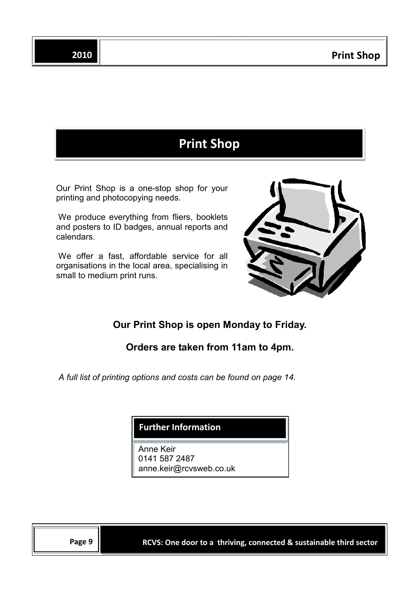### Print Shop

Our Print Shop is a one-stop shop for your printing and photocopying needs.

 We produce everything from fliers, booklets and posters to ID badges, annual reports and calendars.

 We offer a fast, affordable service for all organisations in the local area, specialising in small to medium print runs.



### Our Print Shop is open Monday to Friday.

#### Orders are taken from 11am to 4pm.

A full list of printing options and costs can be found on page 14.

### Further Information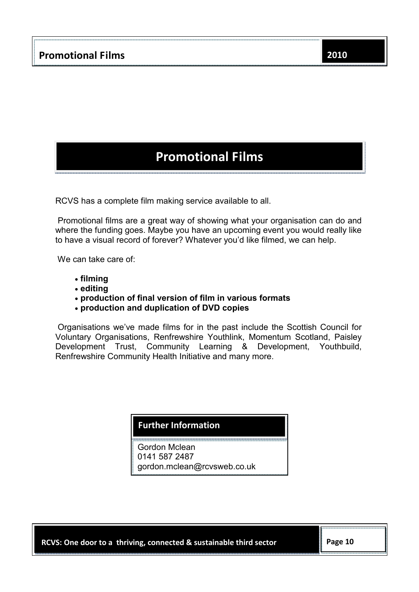### Promotional Films

RCVS has a complete film making service available to all.

 Promotional films are a great way of showing what your organisation can do and where the funding goes. Maybe you have an upcoming event you would really like to have a visual record of forever? Whatever you'd like filmed, we can help.

We can take care of:

- filming
- editing
- production of final version of film in various formats
- production and duplication of DVD copies

 Organisations we've made films for in the past include the Scottish Council for Voluntary Organisations, Renfrewshire Youthlink, Momentum Scotland, Paisley Development Trust, Community Learning & Development, Youthbuild, Renfrewshire Community Health Initiative and many more.

#### Further Information

Gordon Mclean 0141 587 2487 gordon.mclean@rcvsweb.co.uk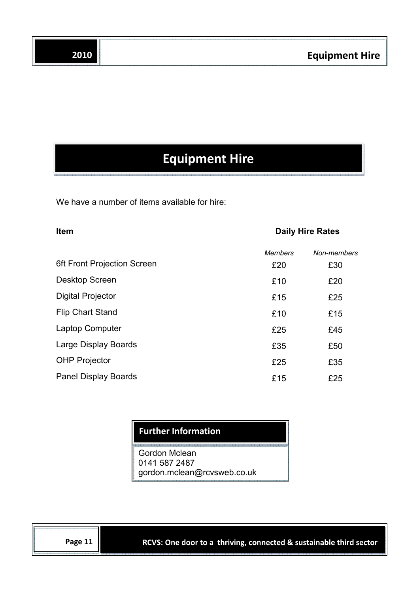### Equipment Hire

We have a number of items available for hire:

| <b>Item</b><br><b>Daily Hire Rates</b> |                |             |
|----------------------------------------|----------------|-------------|
|                                        | <b>Members</b> | Non-members |
| <b>6ft Front Projection Screen</b>     | £20            | £30         |
| Desktop Screen                         | £10            | £20         |
| <b>Digital Projector</b>               | £15            | £25         |
| <b>Flip Chart Stand</b>                | £10            | £15         |
| <b>Laptop Computer</b>                 | £25            | £45         |
| Large Display Boards                   | £35            | £50         |
| <b>OHP Projector</b>                   | £25            | £35         |
| <b>Panel Display Boards</b>            | £15            | £25         |

### Further Information

Gordon Mclean 0141 587 2487 gordon.mclean@rcvsweb.co.uk

Page 11 RCVS: One door to a thriving, connected & sustainable third sector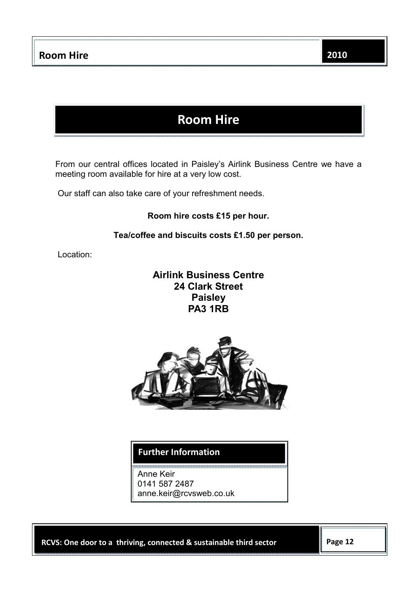### Room Hire

From our central offices located in Paisley's Airlink Business Centre we have a meeting room available for hire at a very low cost.

Our staff can also take care of your refreshment needs.

#### Room hire costs £15 per hour.

#### Tea/coffee and biscuits costs £1.50 per person.

Location:

#### Airlink Business Centre 24 Clark Street **Paisley** PA3 1RB



### Further Information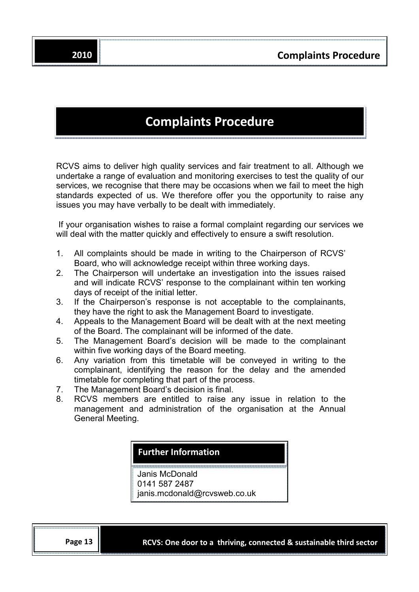### Complaints Procedure

RCVS aims to deliver high quality services and fair treatment to all. Although we undertake a range of evaluation and monitoring exercises to test the quality of our services, we recognise that there may be occasions when we fail to meet the high standards expected of us. We therefore offer you the opportunity to raise any issues you may have verbally to be dealt with immediately.

 If your organisation wishes to raise a formal complaint regarding our services we will deal with the matter quickly and effectively to ensure a swift resolution.

- 1. All complaints should be made in writing to the Chairperson of RCVS' Board, who will acknowledge receipt within three working days.
- 2. The Chairperson will undertake an investigation into the issues raised and will indicate RCVS' response to the complainant within ten working days of receipt of the initial letter.
- 3. If the Chairperson's response is not acceptable to the complainants, they have the right to ask the Management Board to investigate.
- 4. Appeals to the Management Board will be dealt with at the next meeting of the Board. The complainant will be informed of the date.
- 5. The Management Board's decision will be made to the complainant within five working days of the Board meeting.
- 6. Any variation from this timetable will be conveyed in writing to the complainant, identifying the reason for the delay and the amended timetable for completing that part of the process.
- 7. The Management Board's decision is final.
- 8. RCVS members are entitled to raise any issue in relation to the management and administration of the organisation at the Annual General Meeting.

#### Further Information

Janis McDonald 0141 587 2487 janis.mcdonald@rcvsweb.co.uk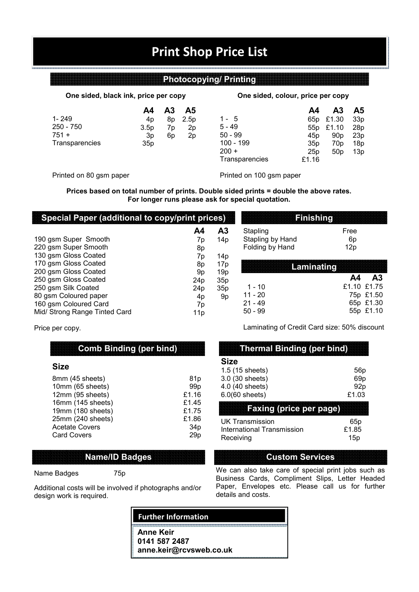### Print Shop Price List

#### Photocopying/ Printing

One sided, black ink, price per copy

#### One sided, colour, price per copy

|                | A4               | А3 | A <sub>5</sub>   |                | A4              | А3              | A5  |
|----------------|------------------|----|------------------|----------------|-----------------|-----------------|-----|
| 1-249          | 4p               | 8p | 2.5 <sub>D</sub> | 1 - 5          |                 | 65p £1.30       | 33p |
| $250 - 750$    | 3.5 <sub>p</sub> | 7p | 2p               | $5 - 49$       |                 | 55p £1.10       | 28p |
| $751 +$        | 3p               | 6p | 2p               | $50 - 99$      | 45p             | 90 <sub>p</sub> | 23p |
| Transparencies | 35 <sub>p</sub>  |    |                  | 100 - 199      | 35 <sub>D</sub> | 70p             | 18p |
|                |                  |    |                  | $200 +$        | 25p             | 50 <sub>D</sub> | 13p |
|                |                  |    |                  | Transparencies | £1.16           |                 |     |

Printed on 80 gsm paper

Printed on 100 gsm paper

Prices based on total number of prints. Double sided prints = double the above rates. For longer runs please ask for special quotation.

| <b>Special Paper (additional to copy/print prices)</b> |                 |                 | <b>Finishing</b>  |             |                |
|--------------------------------------------------------|-----------------|-----------------|-------------------|-------------|----------------|
|                                                        | A4              | А3              | Stapling          | Free        |                |
| 190 gsm Super Smooth                                   | 7p              | 14 <sub>p</sub> | Stapling by Hand  | 6p          |                |
| 220 gsm Super Smooth                                   | 8p              |                 | Folding by Hand   | 12p         |                |
| 130 gsm Gloss Coated                                   | 7p              | 14p             |                   |             |                |
| 170 gsm Gloss Coated                                   | 8p              | 17p             | <b>Laminating</b> |             |                |
| 200 gsm Gloss Coated                                   | 9p              | 19 <sub>p</sub> |                   |             |                |
| 250 gsm Gloss Coated                                   | 24 <sub>p</sub> | 35p             |                   | Α4          | A <sub>3</sub> |
| 250 gsm Silk Coated                                    | 24 <sub>p</sub> | 35p             | $1 - 10$          | £1.10 £1.75 |                |
| 80 gsm Coloured paper                                  | 4p              | 9p              | 11 - 20           | 75p £1.50   |                |
| 160 gsm Coloured Card                                  | 7p              |                 | $21 - 49$         | 65p £1.30   |                |
| Mid/ Strong Range Tinted Card                          | 11p             |                 | $50 - 99$         | 55p £1.10   |                |

Price per copy.

| <b>Comb Binding (per bind)</b> |                 |  |  |  |  |
|--------------------------------|-----------------|--|--|--|--|
| <b>Size</b>                    |                 |  |  |  |  |
| 8mm (45 sheets)                | 81p             |  |  |  |  |
| 10mm (65 sheets)               | 99 <sub>p</sub> |  |  |  |  |
| 12mm (95 sheets)               | £1.16           |  |  |  |  |
| 16mm (145 sheets)              | £1.45           |  |  |  |  |
| 19mm (180 sheets)              | £1.75           |  |  |  |  |
| 25mm (240 sheets)              | £1.86           |  |  |  |  |
| <b>Acetate Covers</b>          | 34 <sub>p</sub> |  |  |  |  |
| <b>Card Covers</b>             | 29p             |  |  |  |  |

#### Name/ID Badges

Name Badges 75p

Additional costs will be involved if photographs and/or design work is required.

Thermal Binding (per bind) **Size** 1.5 (15 sheets) 56p 3.0 (30 sheets) 69p 4.0 (40 sheets) 92p 6.0(60 sheets) £1.03 Faxing (price per page) UK Transmission 65p<br>International Transmission 65p<br>£1.85 International Transmission Receiving 2012 15p

Laminating of Credit Card size: 50% discount

#### Custom Services

We can also take care of special print jobs such as Business Cards, Compliment Slips, Letter Headed Paper, Envelopes etc. Please call us for further details and costs.

| <b>Further Information</b> |
|----------------------------|
| <b>Anne Keir</b>           |
| 0141 587 2487              |
| anne.keir@rcvsweb.co.uk    |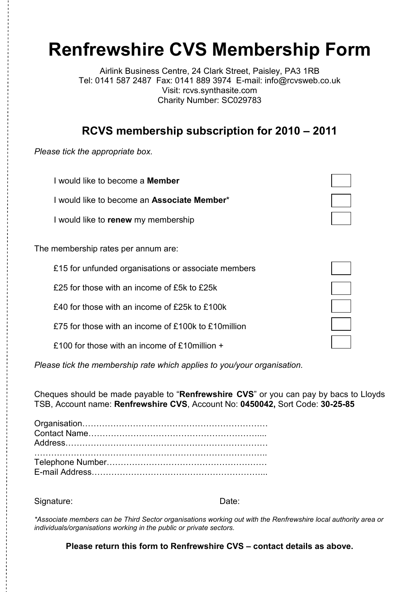## Renfrewshire CVS Membership Form

Airlink Business Centre, 24 Clark Street, Paisley, PA3 1RB Tel: 0141 587 2487 Fax: 0141 889 3974 E-mail: info@rcvsweb.co.uk Visit: rcvs.synthasite.com Charity Number: SC029783

### RCVS membership subscription for 2010 – 2011

Please tick the appropriate box.

| I would like to become a <b>Member</b>              |  |
|-----------------------------------------------------|--|
| I would like to become an Associate Member*         |  |
| I would like to renew my membership                 |  |
| The membership rates per annum are:                 |  |
| £15 for unfunded organisations or associate members |  |
| £25 for those with an income of £5k to £25k         |  |

£40 for those with an income of £25k to £100k

£75 for those with an income of £100k to £10million

£100 for those with an income of £10million +

Please tick the membership rate which applies to you/your organisation.

Cheques should be made payable to "Renfrewshire CVS" or you can pay by bacs to Lloyds TSB, Account name: Renfrewshire CVS, Account No: 0450042, Sort Code: 30-25-85

Signature: Date:

\*Associate members can be Third Sector organisations working out with the Renfrewshire local authority area or individuals/organisations working in the public or private sectors.

Please return this form to Renfrewshire CVS – contact details as above.